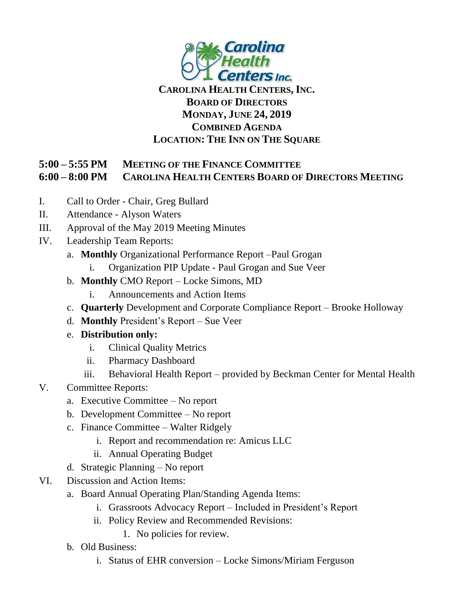

## **CAROLINA HEALTH CENTERS,INC. BOARD OF DIRECTORS MONDAY, JUNE 24, 2019 COMBINED AGENDA LOCATION: THE INN ON THE SQUARE**

## **5:00 – 5:55 PM MEETING OF THE FINANCE COMMITTEE 6:00 – 8:00 PM CAROLINA HEALTH CENTERS BOARD OF DIRECTORS MEETING**

- I. Call to Order Chair, Greg Bullard
- II. Attendance Alyson Waters
- III. Approval of the May 2019 Meeting Minutes
- IV. Leadership Team Reports:
	- a. **Monthly** Organizational Performance Report –Paul Grogan
		- i. Organization PIP Update Paul Grogan and Sue Veer
	- b. **Monthly** CMO Report Locke Simons, MD
		- i. Announcements and Action Items
	- c. **Quarterly** Development and Corporate Compliance Report Brooke Holloway
	- d. **Monthly** President's Report Sue Veer
	- e. **Distribution only:**
		- i. Clinical Quality Metrics
		- ii. Pharmacy Dashboard
		- iii. Behavioral Health Report provided by Beckman Center for Mental Health
- V. Committee Reports:
	- a. Executive Committee No report
	- b. Development Committee No report
	- c. Finance Committee Walter Ridgely
		- i. Report and recommendation re: Amicus LLC
		- ii. Annual Operating Budget
	- d. Strategic Planning No report
- VI. Discussion and Action Items:
	- a. Board Annual Operating Plan/Standing Agenda Items:
		- i. Grassroots Advocacy Report Included in President's Report
		- ii. Policy Review and Recommended Revisions:
			- 1. No policies for review.
	- b. Old Business:
		- i. Status of EHR conversion Locke Simons/Miriam Ferguson